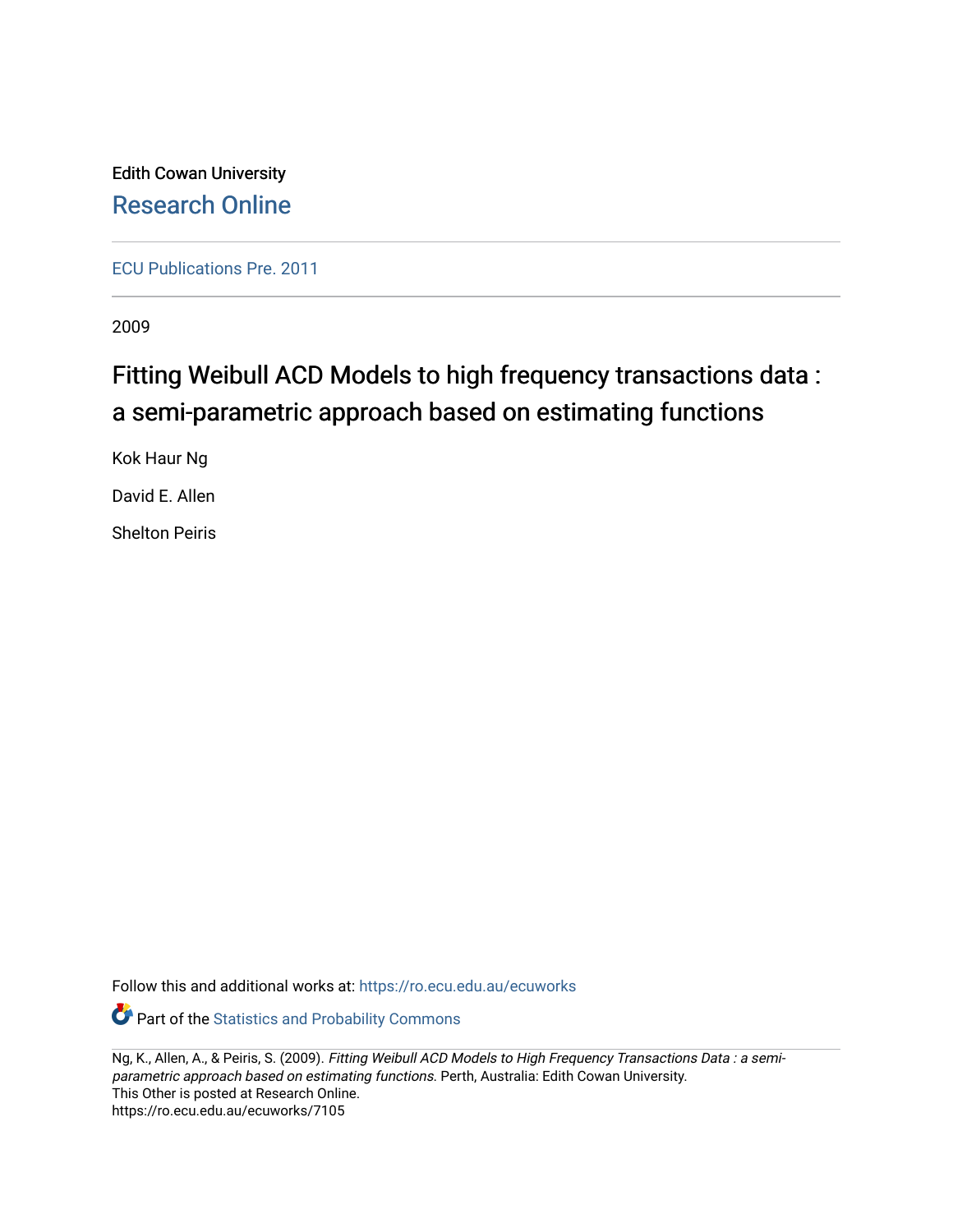Edith Cowan University [Research Online](https://ro.ecu.edu.au/) 

[ECU Publications Pre. 2011](https://ro.ecu.edu.au/ecuworks)

2009

# Fitting Weibull ACD Models to high frequency transactions data : a semi-parametric approach based on estimating functions

Kok Haur Ng

David E. Allen

Shelton Peiris

Follow this and additional works at: [https://ro.ecu.edu.au/ecuworks](https://ro.ecu.edu.au/ecuworks?utm_source=ro.ecu.edu.au%2Fecuworks%2F7105&utm_medium=PDF&utm_campaign=PDFCoverPages) 

**Part of the [Statistics and Probability Commons](http://network.bepress.com/hgg/discipline/208?utm_source=ro.ecu.edu.au%2Fecuworks%2F7105&utm_medium=PDF&utm_campaign=PDFCoverPages)** 

Ng, K., Allen, A., & Peiris, S. (2009). Fitting Weibull ACD Models to High Frequency Transactions Data : a semiparametric approach based on estimating functions. Perth, Australia: Edith Cowan University. This Other is posted at Research Online. https://ro.ecu.edu.au/ecuworks/7105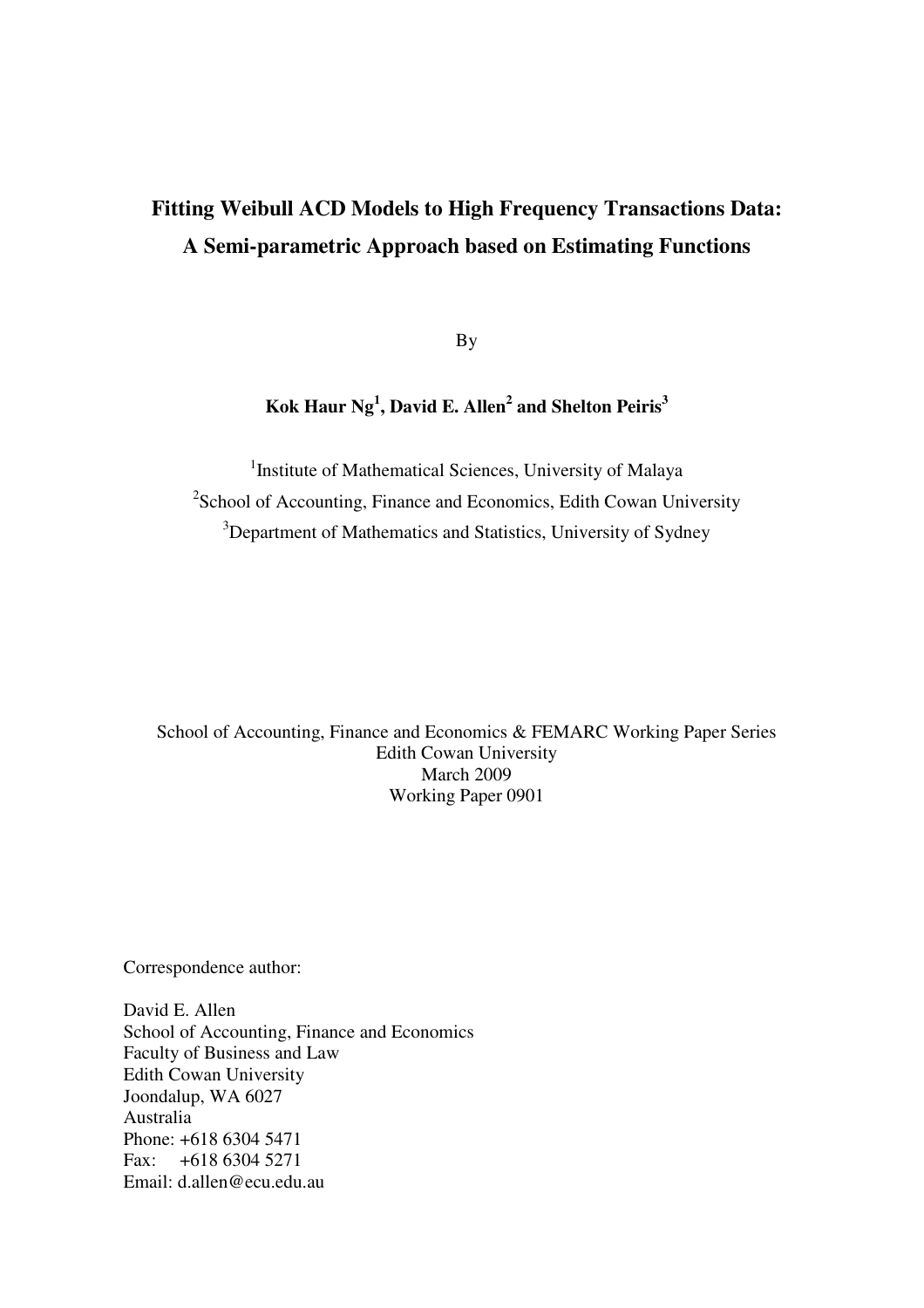## **Fitting Weibull ACD Models to High Frequency Transactions Data: A Semi-parametric Approach based on Estimating Functions**

By

**Kok Haur Ng<sup>1</sup> , David E. Allen<sup>2</sup> and Shelton Peiris<sup>3</sup>**

<sup>1</sup>Institute of Mathematical Sciences, University of Malaya <sup>2</sup>School of Accounting, Finance and Economics, Edith Cowan University <sup>3</sup>Department of Mathematics and Statistics, University of Sydney

School of Accounting, Finance and Economics & FEMARC Working Paper Series Edith Cowan University March 2009 Working Paper 0901

Correspondence author:

David E. Allen School of Accounting, Finance and Economics Faculty of Business and Law Edith Cowan University Joondalup, WA 6027 Australia Phone: +618 6304 5471 Fax: +618 6304 5271 Email: d.allen@ecu.edu.au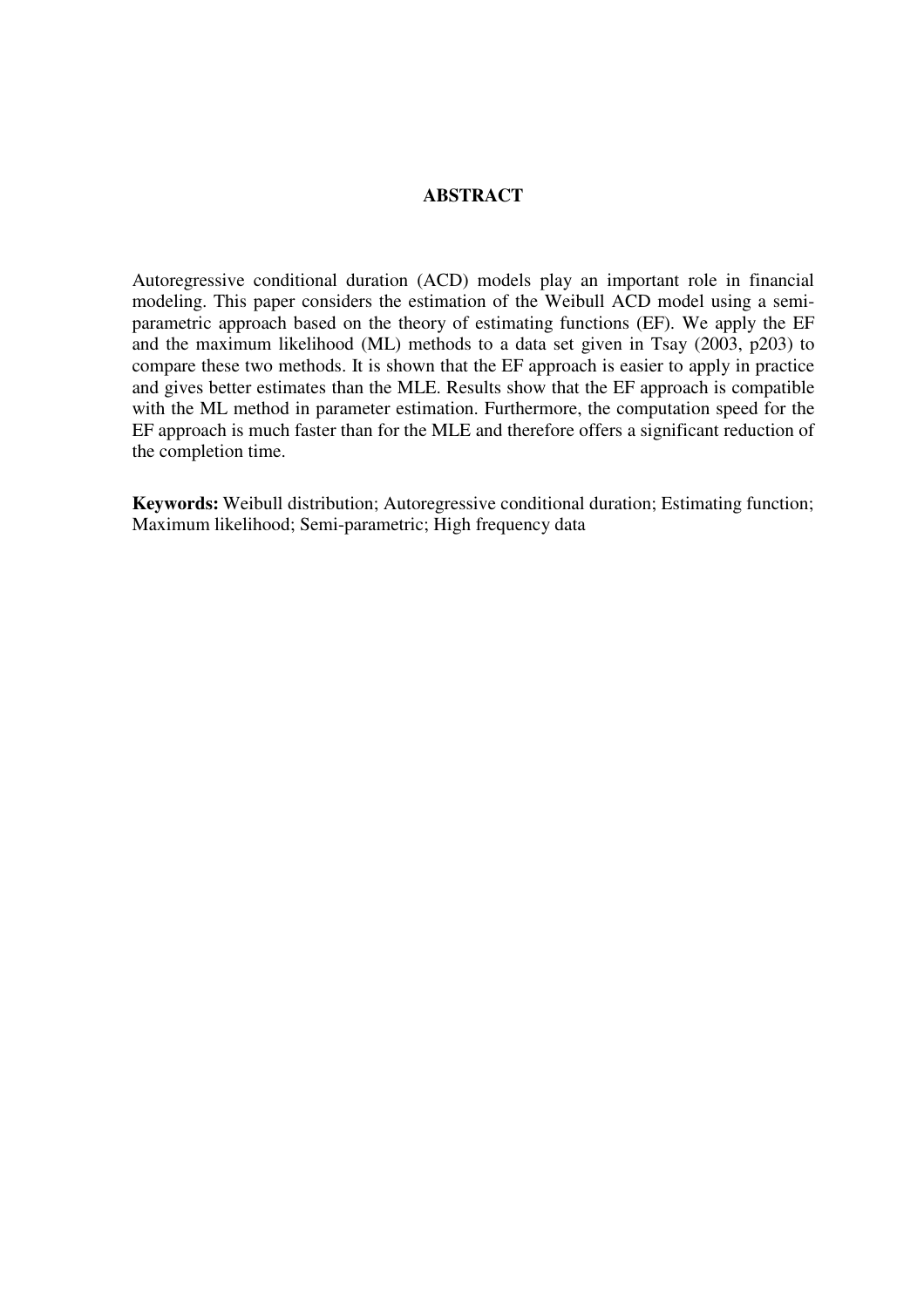## **ABSTRACT**

Autoregressive conditional duration (ACD) models play an important role in financial modeling. This paper considers the estimation of the Weibull ACD model using a semiparametric approach based on the theory of estimating functions (EF). We apply the EF and the maximum likelihood (ML) methods to a data set given in Tsay (2003, p203) to compare these two methods. It is shown that the EF approach is easier to apply in practice and gives better estimates than the MLE. Results show that the EF approach is compatible with the ML method in parameter estimation. Furthermore, the computation speed for the EF approach is much faster than for the MLE and therefore offers a significant reduction of the completion time.

**Keywords:** Weibull distribution; Autoregressive conditional duration; Estimating function; Maximum likelihood; Semi-parametric; High frequency data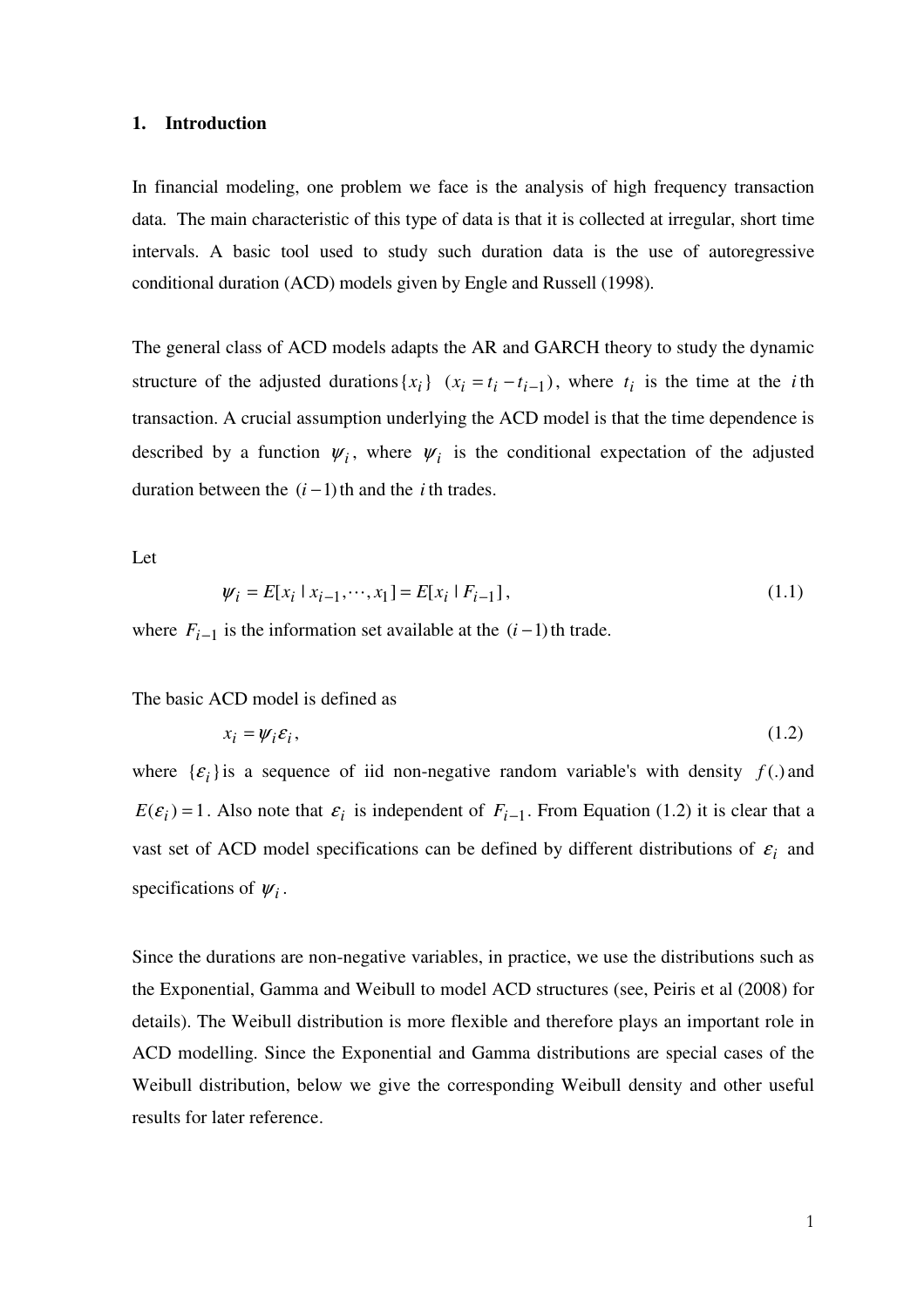#### **1. Introduction**

In financial modeling, one problem we face is the analysis of high frequency transaction data. The main characteristic of this type of data is that it is collected at irregular, short time intervals. A basic tool used to study such duration data is the use of autoregressive conditional duration (ACD) models given by Engle and Russell (1998).

The general class of ACD models adapts the AR and GARCH theory to study the dynamic structure of the adjusted durations  $\{x_i\}$   $(x_i = t_i - t_{i-1})$ , where  $t_i$  is the time at the *i*th transaction. A crucial assumption underlying the ACD model is that the time dependence is described by a function  $\psi_i$ , where  $\psi_i$  is the conditional expectation of the adjusted duration between the  $(i-1)$ <sup>th</sup> and the *i* th trades.

Let

$$
\psi_i = E[x_i \mid x_{i-1}, \dots, x_1] = E[x_i \mid F_{i-1}], \tag{1.1}
$$

where  $F_{i-1}$  is the information set available at the  $(i-1)$ <sup>th</sup> trade.

## The basic ACD model is defined as

$$
x_i = \psi_i \varepsilon_i,\tag{1.2}
$$

where  $\{\varepsilon_i\}$  is a sequence of iid non-negative random variable's with density  $f(.)$  and  $E(\varepsilon_i) = 1$ . Also note that  $\varepsilon_i$  is independent of  $F_{i-1}$ . From Equation (1.2) it is clear that a vast set of ACD model specifications can be defined by different distributions of  $\varepsilon_i$  and specifications of  $\psi_i$ .

Since the durations are non-negative variables, in practice, we use the distributions such as the Exponential, Gamma and Weibull to model ACD structures (see, Peiris et al (2008) for details). The Weibull distribution is more flexible and therefore plays an important role in ACD modelling. Since the Exponential and Gamma distributions are special cases of the Weibull distribution, below we give the corresponding Weibull density and other useful results for later reference.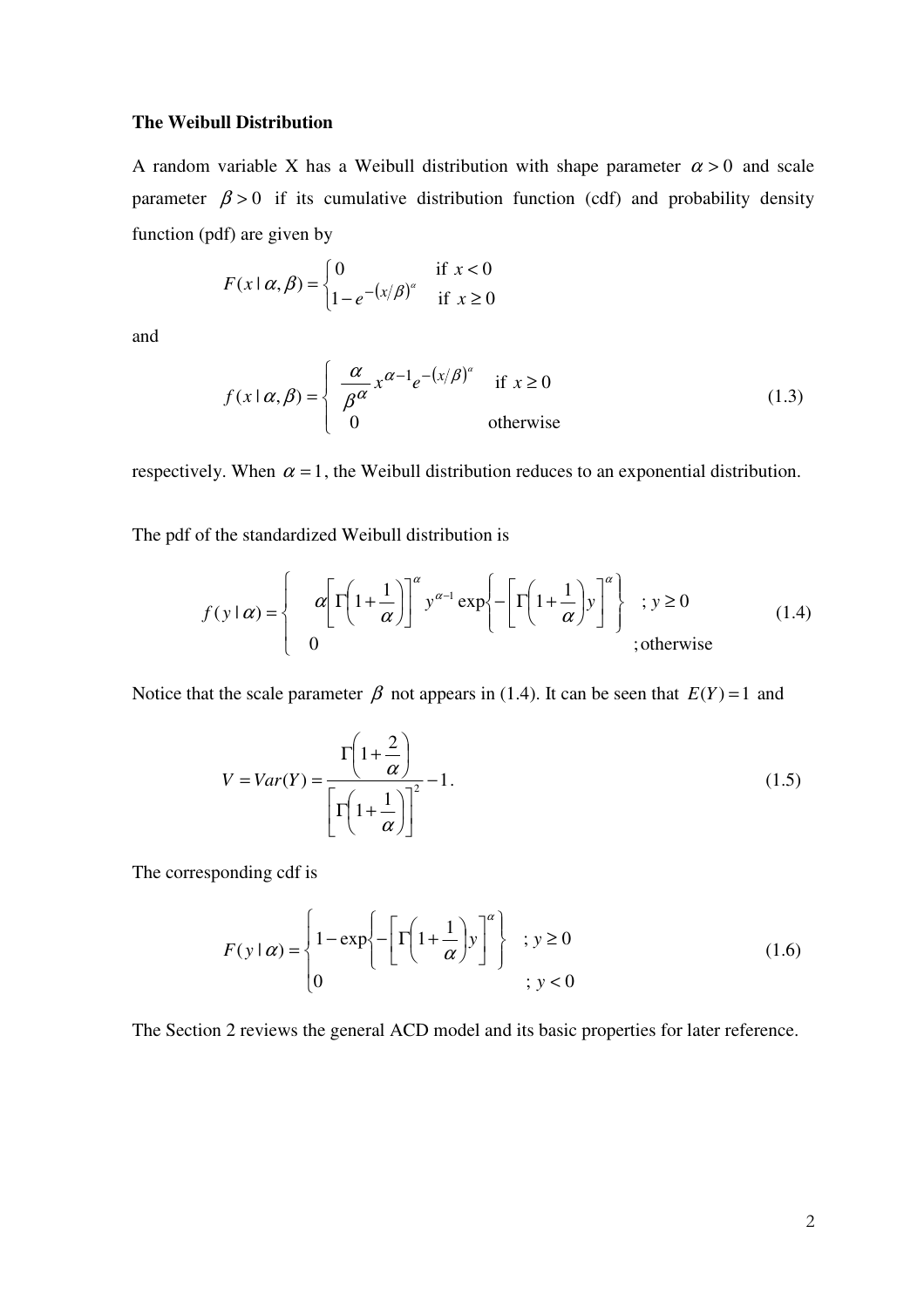## **The Weibull Distribution**

A random variable X has a Weibull distribution with shape parameter  $\alpha > 0$  and scale parameter  $\beta > 0$  if its cumulative distribution function (cdf) and probability density function (pdf) are given by

$$
F(x \mid \alpha, \beta) = \begin{cases} 0 & \text{if } x < 0 \\ 1 - e^{-(x/\beta)^{\alpha}} & \text{if } x \ge 0 \end{cases}
$$

and

$$
f(x \mid \alpha, \beta) = \begin{cases} \frac{\alpha}{\beta^{\alpha}} x^{\alpha - 1} e^{-(x/\beta)^{\alpha}} & \text{if } x \ge 0\\ 0 & \text{otherwise} \end{cases}
$$
(1.3)

respectively. When  $\alpha = 1$ , the Weibull distribution reduces to an exponential distribution.

The pdf of the standardized Weibull distribution is

$$
f(y \mid \alpha) = \begin{cases} \alpha \left[ \Gamma \left( 1 + \frac{1}{\alpha} \right) \right]^{\alpha} y^{\alpha - 1} \exp \left\{ - \left[ \Gamma \left( 1 + \frac{1}{\alpha} \right) y \right]^{\alpha} \right\} & ; y \ge 0 \\ 0 & ; \text{otherwise} \end{cases}
$$
(1.4)

Notice that the scale parameter  $\beta$  not appears in (1.4). It can be seen that  $E(Y) = 1$  and

$$
V = Var(Y) = \frac{\Gamma\left(1 + \frac{2}{\alpha}\right)}{\Gamma\left(1 + \frac{1}{\alpha}\right)\right]^2} - 1.
$$
\n(1.5)

The corresponding cdf is

$$
F(y \mid \alpha) = \begin{cases} 1 - \exp\left\{-\left[\Gamma\left(1 + \frac{1}{\alpha}\right)y\right]^\alpha\right\} & ; y \ge 0\\ 0 & ; y < 0 \end{cases}
$$
(1.6)

The Section 2 reviews the general ACD model and its basic properties for later reference.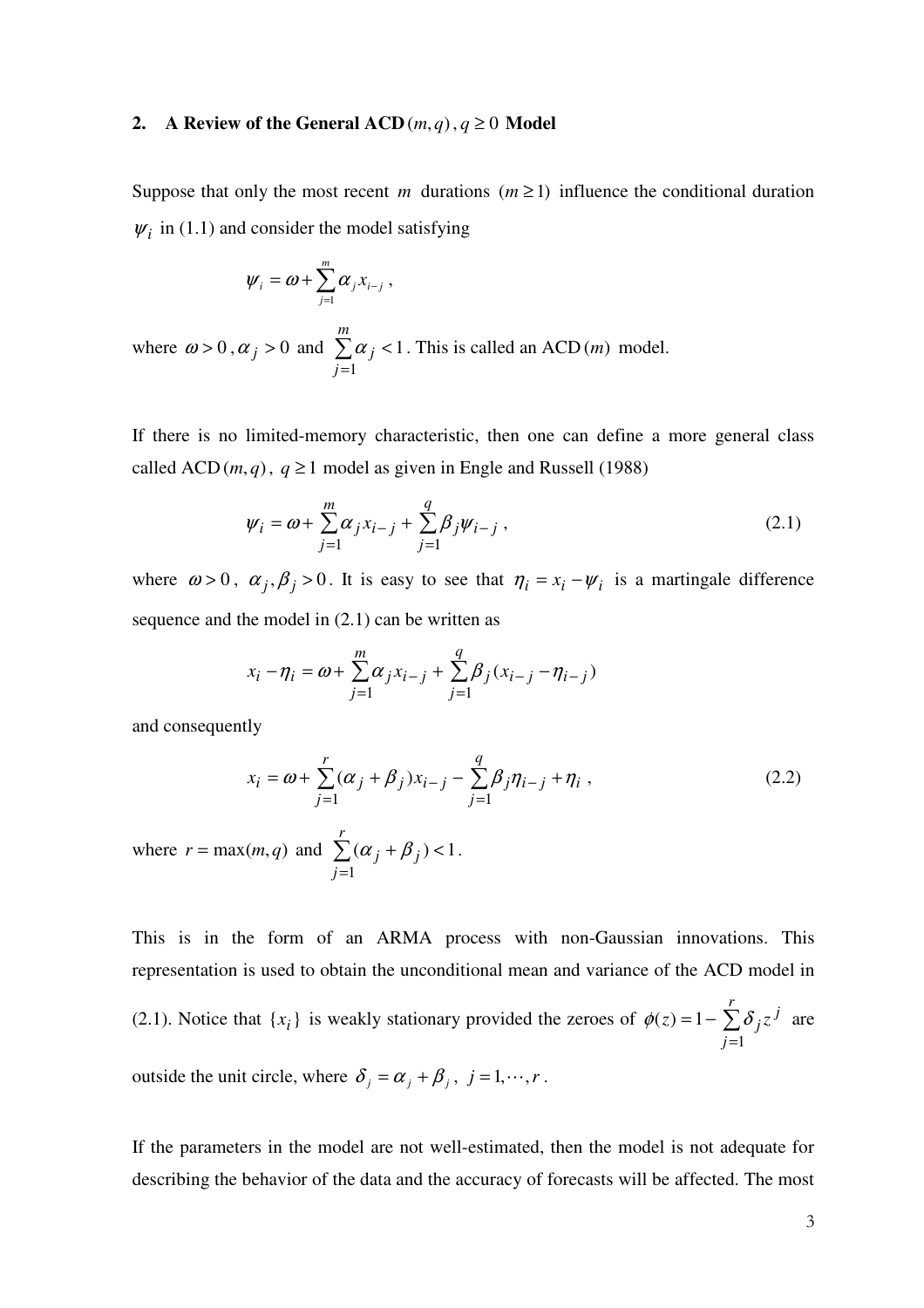## **2. A** Review of the General ACD $(m, q), q \ge 0$  Model

Suppose that only the most recent *m* durations  $(m \ge 1)$  influence the conditional duration  $\psi_i$  in (1.1) and consider the model satisfying

$$
\boldsymbol{\psi}_i = \boldsymbol{\omega} + \sum_{j=1}^m \boldsymbol{\alpha}_j \boldsymbol{x}_{i-j} ,
$$

where  $\omega > 0$ ,  $\alpha_j > 0$  and  $\sum_{i=1}^{n}$ =  $\prec$ *m j j* 1  $\alpha_i$  < 1. This is called an ACD (*m*) model.

If there is no limited-memory characteristic, then one can define a more general class called ACD  $(m, q)$ ,  $q \ge 1$  model as given in Engle and Russell (1988)

$$
\psi_i = \omega + \sum_{j=1}^{m} \alpha_j x_{i-j} + \sum_{j=1}^{q} \beta_j \psi_{i-j},
$$
\n(2.1)

where  $\omega > 0$ ,  $\alpha_j$ ,  $\beta_j > 0$ . It is easy to see that  $\eta_i = x_i - \psi_i$  is a martingale difference sequence and the model in (2.1) can be written as

$$
x_i - \eta_i = \omega + \sum_{j=1}^m \alpha_j x_{i-j} + \sum_{j=1}^q \beta_j (x_{i-j} - \eta_{i-j})
$$

and consequently

$$
x_{i} = \omega + \sum_{j=1}^{r} (\alpha_{j} + \beta_{j}) x_{i-j} - \sum_{j=1}^{q} \beta_{j} \eta_{i-j} + \eta_{i} , \qquad (2.2)
$$

where  $r = \max(m, q)$  and  $\sum$ =  $+\beta_i$ ) < *r j j j* 1  $(\alpha_i + \beta_i)$  < 1.

This is in the form of an ARMA process with non-Gaussian innovations. This representation is used to obtain the unconditional mean and variance of the ACD model in (2.1). Notice that  $\{x_i\}$  is weakly stationary provided the zeroes of  $\phi(z) = 1 - \sum$ =  $= 1$ *r j j*  $(z) = 1 - \sum \delta_j z$ 1  $\phi(z) = 1 - \sum \delta_i z^j$  are

outside the unit circle, where  $\delta_j = \alpha_j + \beta_j$ ,  $j = 1, \dots, r$ .

If the parameters in the model are not well-estimated, then the model is not adequate for describing the behavior of the data and the accuracy of forecasts will be affected. The most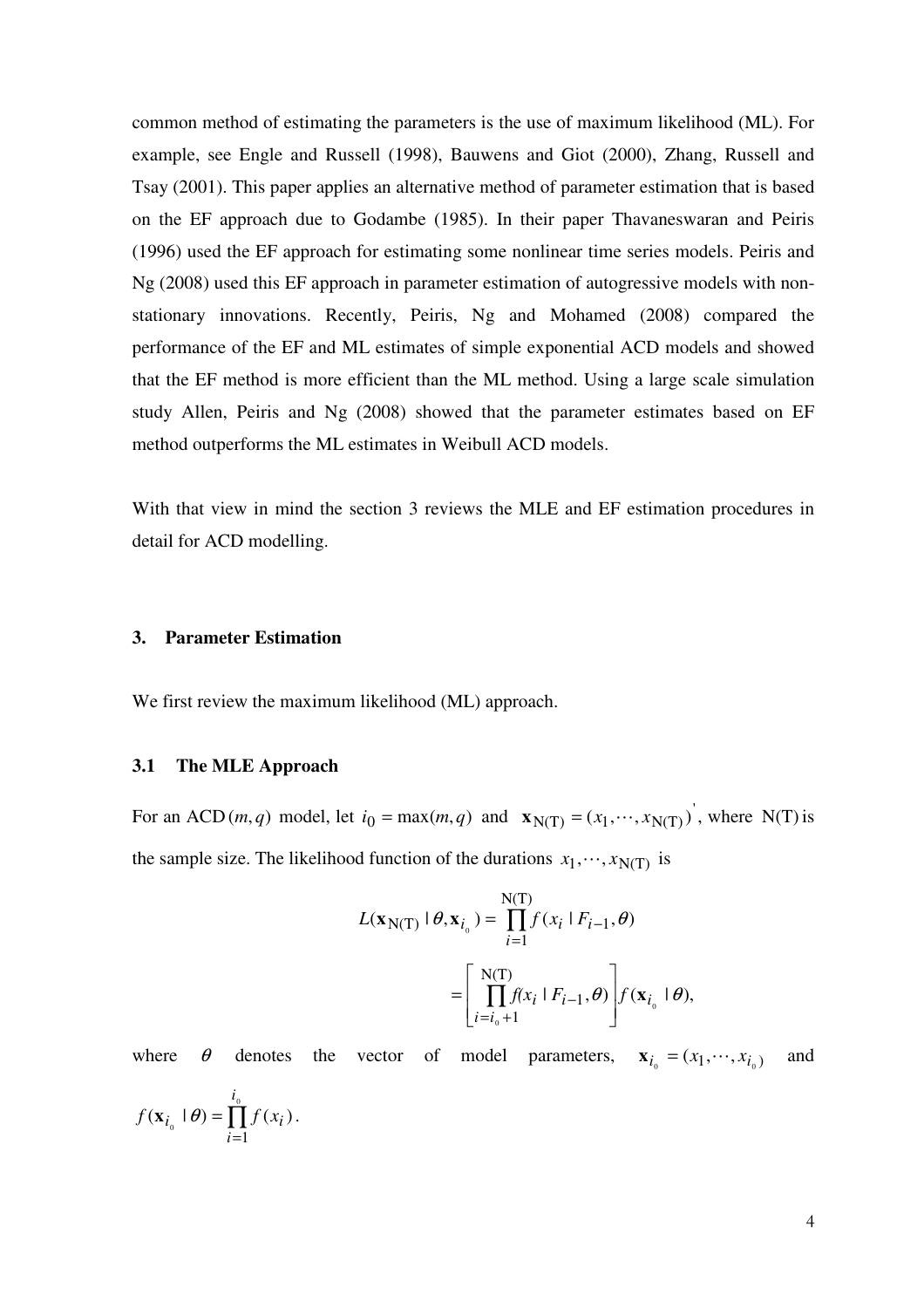common method of estimating the parameters is the use of maximum likelihood (ML). For example, see Engle and Russell (1998), Bauwens and Giot (2000), Zhang, Russell and Tsay (2001). This paper applies an alternative method of parameter estimation that is based on the EF approach due to Godambe (1985). In their paper Thavaneswaran and Peiris (1996) used the EF approach for estimating some nonlinear time series models. Peiris and Ng (2008) used this EF approach in parameter estimation of autogressive models with nonstationary innovations. Recently, Peiris, Ng and Mohamed (2008) compared the performance of the EF and ML estimates of simple exponential ACD models and showed that the EF method is more efficient than the ML method. Using a large scale simulation study Allen, Peiris and Ng (2008) showed that the parameter estimates based on EF method outperforms the ML estimates in Weibull ACD models.

With that view in mind the section 3 reviews the MLE and EF estimation procedures in detail for ACD modelling.

## **3. Parameter Estimation**

We first review the maximum likelihood (ML) approach.

#### **3.1 The MLE Approach**

=

*i*

For an ACD  $(m, q)$  model, let  $i_0 = \max(m, q)$  and  $\mathbf{x}_{N(T)} = (x_1, \dots, x_{N(T)})$ , where N(T) is the sample size. The likelihood function of the durations  $x_1, \dots, x_{N(T)}$  is

$$
L(\mathbf{x}_{N(T)} | \theta, \mathbf{x}_{i_0}) = \prod_{i=1}^{N(T)} f(x_i | F_{i-1}, \theta)
$$

$$
= \left[ \prod_{i=i_0+1}^{N(T)} f(x_i | F_{i-1}, \theta) \right] f(\mathbf{x}_{i_0} | \theta),
$$

where  $\theta$  denotes the vector of model parameters,  $\mathbf{x}_{i_0} = (x_1, \dots, x_{i_0})$  and ∏  $=\int_{0}^{\tau_{0}}$  $\begin{array}{ccc} 0 & & & \overline{11} \\ i=1 & & \end{array}$  $(\mathbf{x}_i \mid \theta) = \prod f(x_i)$ *i*  $f(\mathbf{x}_{i_0} \mid \boldsymbol{\theta}) = \prod f(x_i)$ .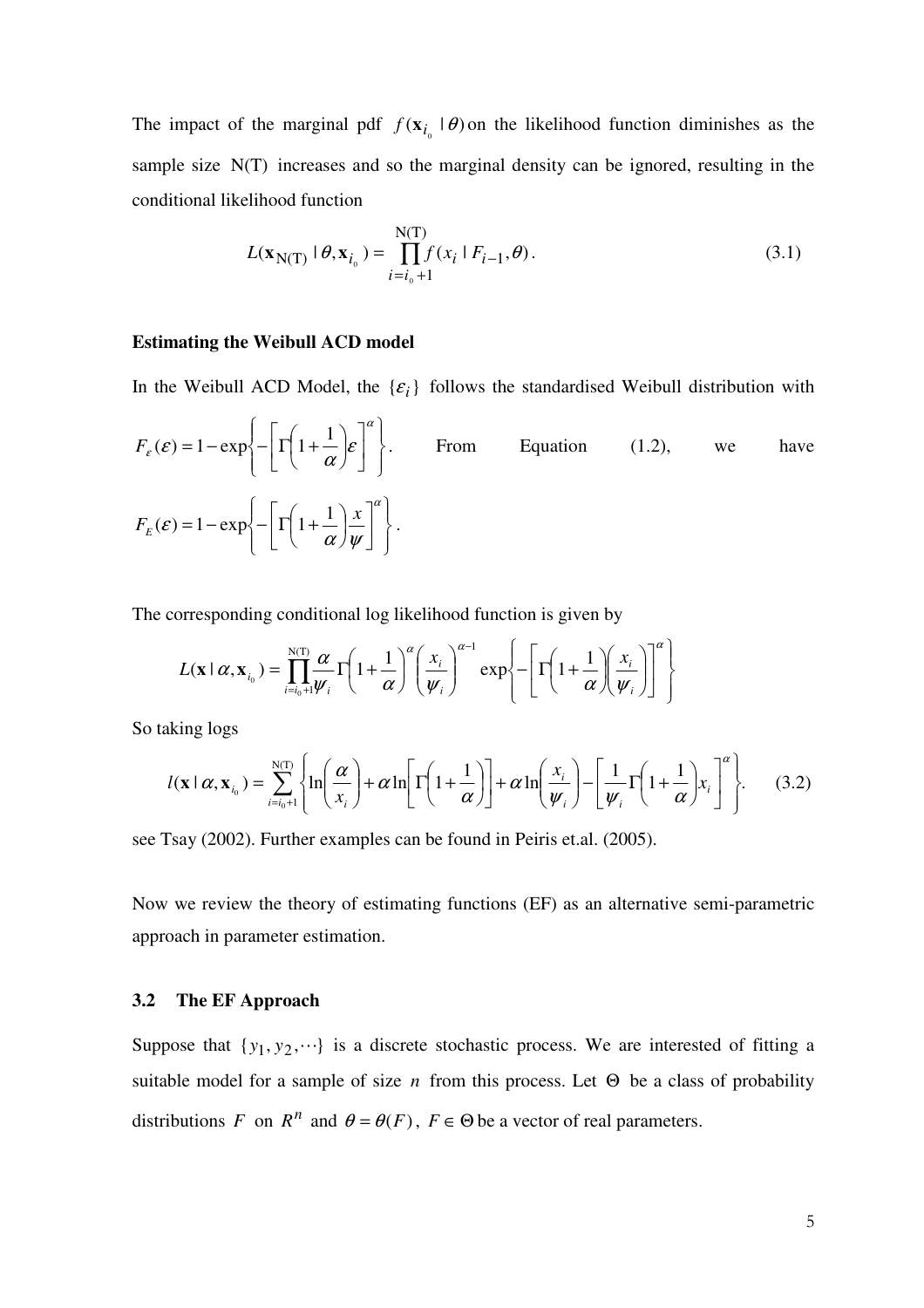The impact of the marginal pdf  $f(\mathbf{x}_{i_0} \mid \theta)$  on the likelihood function diminishes as the sample size N(T) increases and so the marginal density can be ignored, resulting in the conditional likelihood function

$$
L(\mathbf{x}_{N(T)} | \theta, \mathbf{x}_{i_0}) = \prod_{i=i_0+1}^{N(T)} f(x_i | F_{i-1}, \theta).
$$
 (3.1)

#### **Estimating the Weibull ACD model**

In the Weibull ACD Model, the  $\{\varepsilon_i\}$  follows the standardised Weibull distribution with

$$
F_{\varepsilon}(\varepsilon) = 1 - \exp\left\{-\left[\Gamma\left(1 + \frac{1}{\alpha}\right)\varepsilon\right]^{\alpha}\right\}.
$$
 From Equation (1.2), we have  

$$
F_{\varepsilon}(\varepsilon) = 1 - \exp\left\{-\left[\Gamma\left(1 + \frac{1}{\alpha}\right)\frac{x}{\psi}\right]^{\alpha}\right\}.
$$

The corresponding conditional log likelihood function is given by

$$
L(\mathbf{x} \mid \alpha, \mathbf{x}_{i_0}) = \prod_{i=i_0+1}^{N(T)} \frac{\alpha}{\psi_i} \Gamma\left(1 + \frac{1}{\alpha}\right)^{\alpha} \left(\frac{x_i}{\psi_i}\right)^{\alpha-1} \exp\left\{-\left[\Gamma\left(1 + \frac{1}{\alpha}\right)\left(\frac{x_i}{\psi_i}\right)\right]^{\alpha}\right\}
$$

So taking logs

$$
l(\mathbf{x} \mid \alpha, \mathbf{x}_{i_0}) = \sum_{i=i_0+1}^{N(T)} \left\{ \ln \left( \frac{\alpha}{x_i} \right) + \alpha \ln \left[ \Gamma \left( 1 + \frac{1}{\alpha} \right) \right] + \alpha \ln \left( \frac{x_i}{\psi_i} \right) - \left[ \frac{1}{\psi_i} \Gamma \left( 1 + \frac{1}{\alpha} \right) x_i \right]^\alpha \right\}.
$$
 (3.2)

see Tsay (2002). Further examples can be found in Peiris et.al. (2005).

Now we review the theory of estimating functions (EF) as an alternative semi-parametric approach in parameter estimation.

## **3.2 The EF Approach**

Suppose that  $\{y_1, y_2, \dots\}$  is a discrete stochastic process. We are interested of fitting a suitable model for a sample of size *n* from this process. Let  $\Theta$  be a class of probability distributions *F* on  $R^n$  and  $\theta = \theta(F)$ ,  $F \in \Theta$  be a vector of real parameters.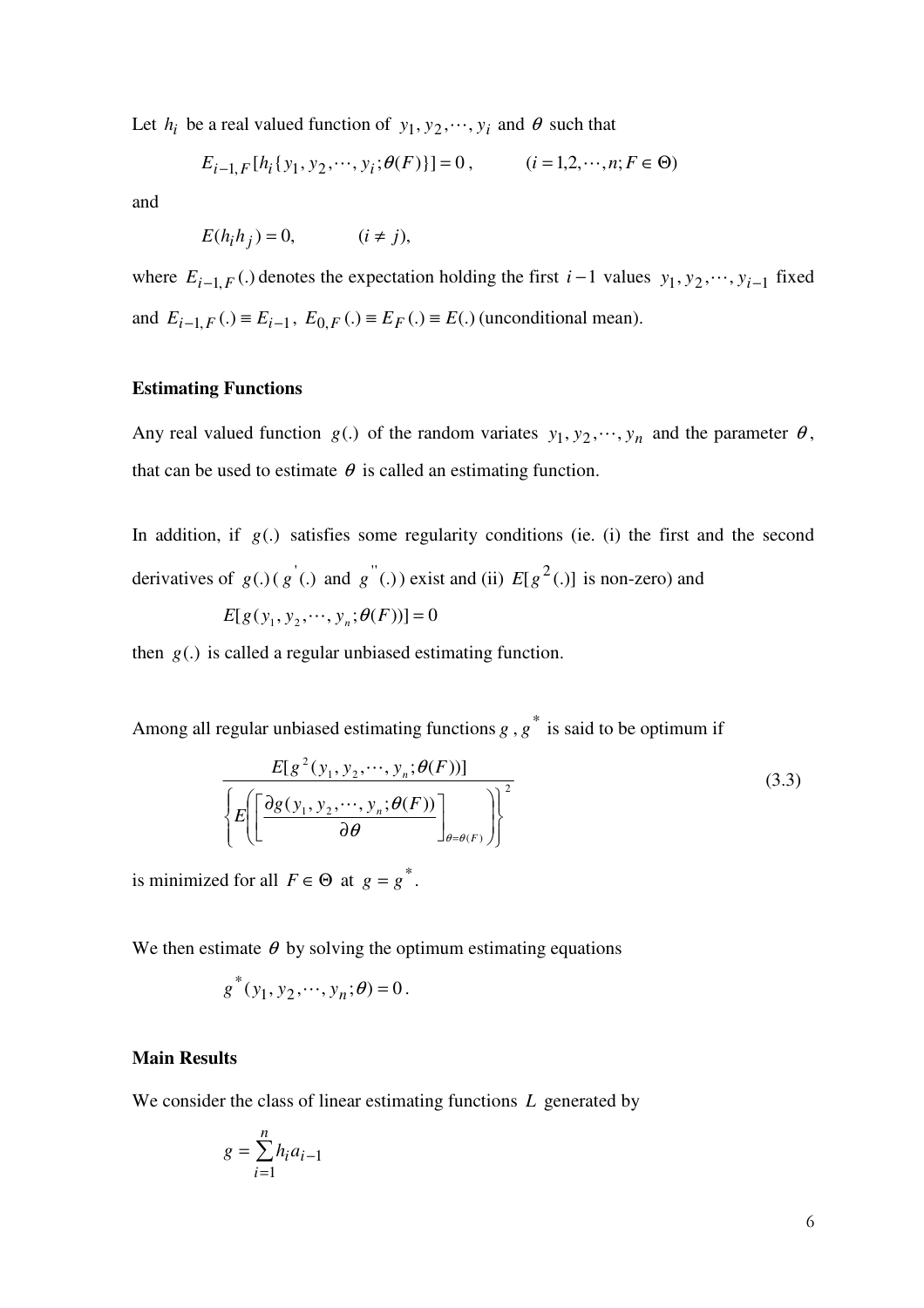Let  $h_i$  be a real valued function of  $y_1, y_2, \dots, y_i$  and  $\theta$  such that

$$
E_{i-1,F}[h_i\{y_1, y_2, \cdots, y_i; \theta(F)\}] = 0, \qquad (i = 1, 2, \cdots, n; F \in \Theta)
$$

and

$$
E(h_i h_j) = 0, \qquad (i \neq j),
$$

where  $E_{i-1,F}$  (.) denotes the expectation holding the first  $i-1$  values  $y_1, y_2, \dots, y_{i-1}$  fixed and  $E_{i-1,F}(.) \equiv E_{i-1}, E_{0,F}(.) \equiv E_F(.) \equiv E(.)$  (unconditional mean).

## **Estimating Functions**

Any real valued function  $g(.)$  of the random variates  $y_1, y_2, \dots, y_n$  and the parameter  $\theta$ , that can be used to estimate  $\theta$  is called an estimating function.

In addition, if  $g(.)$  satisfies some regularity conditions (ie. (i) the first and the second derivatives of  $g(.)$  ( $g'(.)$  and  $g''(.)$ ) exist and (ii)  $E[g^2(.)]$  is non-zero) and

$$
E[g(y_1, y_2, \cdots, y_n; \theta(F))] = 0
$$

then  $g(.)$  is called a regular unbiased estimating function.

Among all regular unbiased estimating functions  $g$ ,  $g^*$  is said to be optimum if

$$
E[g^{2}(y_{1}, y_{2}, \cdots, y_{n}; \theta(F))]
$$
\n
$$
\left\{ E\left(\left[\frac{\partial g(y_{1}, y_{2}, \cdots, y_{n}; \theta(F))}{\partial \theta}\right]_{\theta = \theta(F)}\right) \right\}^{2}
$$
\n(3.3)

is minimized for all  $F \in \Theta$  at  $g = g^*$ .

We then estimate  $\theta$  by solving the optimum estimating equations

$$
g^*(y_1, y_2, \dots, y_n; \theta) = 0.
$$

#### **Main Results**

We consider the class of linear estimating functions *L* generated by

$$
g = \sum_{i=1}^{n} h_i a_{i-1}
$$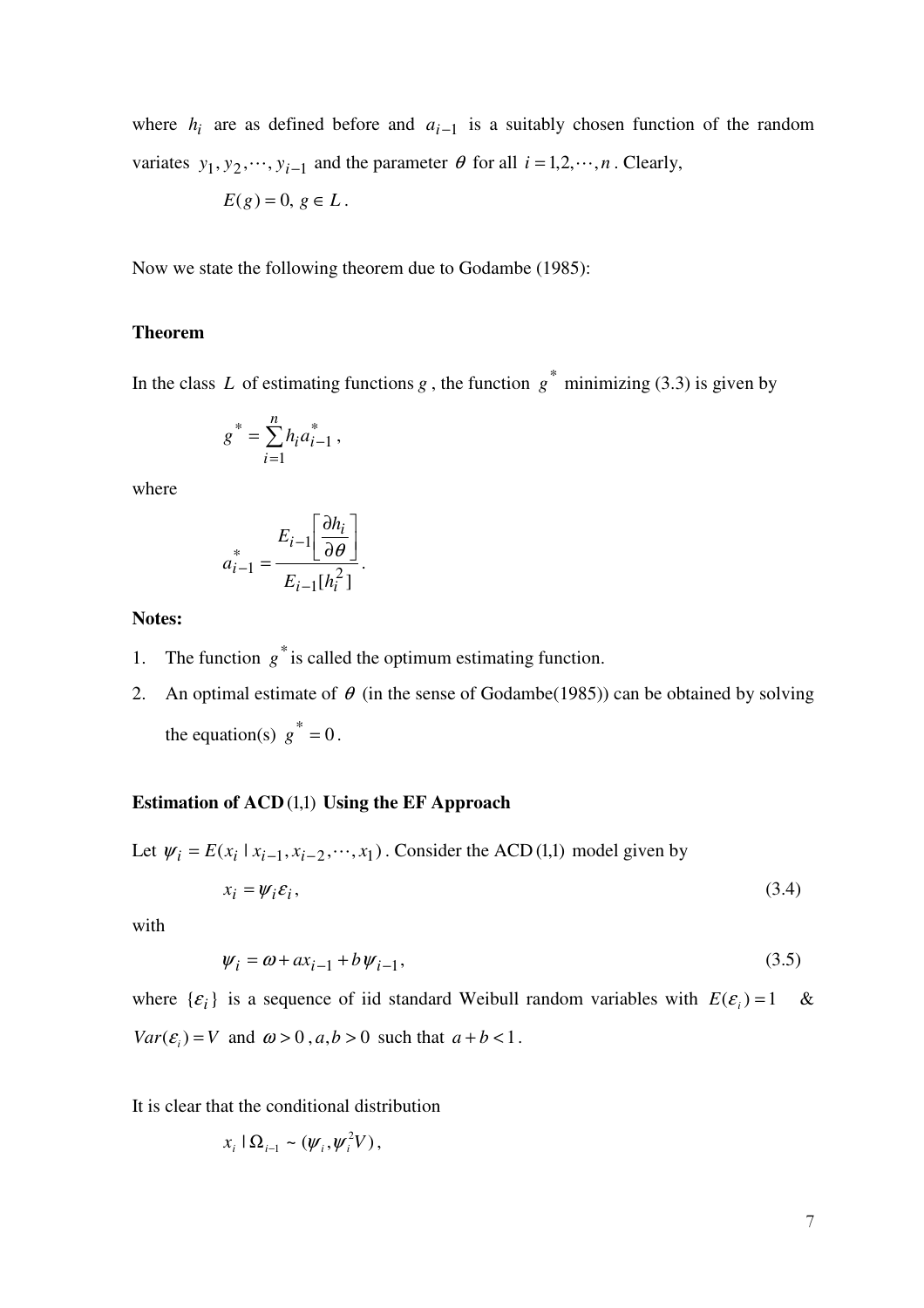where  $h_i$  are as defined before and  $a_{i-1}$  is a suitably chosen function of the random variates  $y_1, y_2, \dots, y_{i-1}$  and the parameter  $\theta$  for all  $i = 1, 2, \dots, n$ . Clearly,

$$
E(g) = 0, g \in L.
$$

Now we state the following theorem due to Godambe (1985):

## **Theorem**

In the class L of estimating functions  $g$ , the function  $g^*$  minimizing (3.3) is given by

$$
g^* = \sum_{i=1}^n h_i a_{i-1}^*,
$$

where

$$
a_{i-1}^* = \frac{E_{i-1} \left[ \frac{\partial h_i}{\partial \theta} \right]}{E_{i-1} [h_i^2]}.
$$

#### **Notes:**

- 1. The function  $g^*$  is called the optimum estimating function.
- 2. An optimal estimate of  $\theta$  (in the sense of Godambe(1985)) can be obtained by solving the equation(s)  $g^* = 0$ .

## **Estimation of ACD** (1,1) Using the EF Approach

Let  $\psi_i = E(x_i | x_{i-1}, x_{i-2}, \dots, x_1)$ . Consider the ACD (1,1) model given by

$$
x_i = \psi_i \varepsilon_i, \tag{3.4}
$$

with

$$
\psi_i = \omega + ax_{i-1} + b\psi_{i-1},\tag{3.5}
$$

where  $\{\varepsilon_i\}$  is a sequence of iid standard Weibull random variables with  $E(\varepsilon_i) = 1$  & *Var*( $\varepsilon$ <sub>*i*</sub>)</sub> = *V* and  $\omega$  > 0,  $a$ ,  $b$  > 0 such that  $a + b < 1$ .

It is clear that the conditional distribution

$$
x_i \mid \Omega_{i-1} \sim (\psi_i, \psi_i^2 V),
$$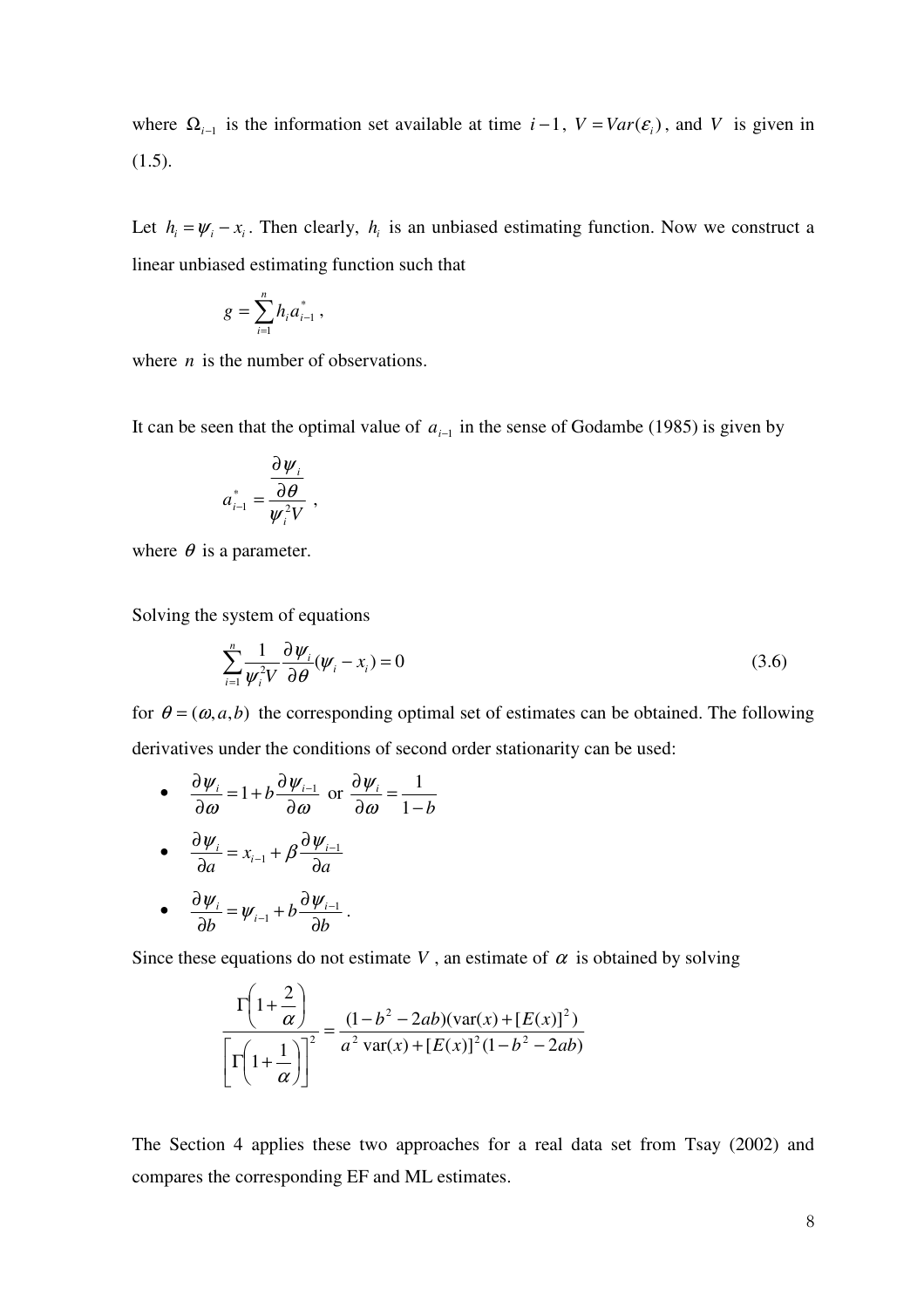where  $\Omega_{i-1}$  is the information set available at time  $i-1$ ,  $V = Var(\mathcal{E}_i)$ , and V is given in (1.5).

Let  $h_i = \psi_i - x_i$ . Then clearly,  $h_i$  is an unbiased estimating function. Now we construct a linear unbiased estimating function such that

$$
g = \sum_{i=1}^n h_i a_{i-1}^*,
$$

where *n* is the number of observations.

It can be seen that the optimal value of  $a_{i-1}$  in the sense of Godambe (1985) is given by

$$
a_{i-1}^* = \frac{\frac{\partial \psi_i}{\partial \theta}}{\psi_i^2 V},
$$

where  $\theta$  is a parameter.

Solving the system of equations

$$
\sum_{i=1}^{n} \frac{1}{\psi_i^2 V} \frac{\partial \psi_i}{\partial \theta} (\psi_i - x_i) = 0
$$
\n(3.6)

for  $\theta = (\omega, a, b)$  the corresponding optimal set of estimates can be obtained. The following derivatives under the conditions of second order stationarity can be used:

•  $\frac{\partial \varphi_i}{\partial \omega} = 1 + b \frac{\partial \varphi_i}{\partial \omega}$ ψ ω ψ ∂  $= 1 + b \frac{\partial}{\partial x}$ ∂  $\frac{\partial \psi_i}{\partial t} = 1 + b \frac{\partial \psi_{i-1}}{\partial t}$  or *b i* − = ∂ ∂ 1 1 ω ψ

• 
$$
\frac{\partial \psi_i}{\partial a} = x_{i-1} + \beta \frac{\partial \psi_{i-1}}{\partial a}
$$

• 
$$
\frac{\partial \psi_i}{\partial b} = \psi_{i-1} + b \frac{\partial \psi_{i-1}}{\partial b}.
$$

Since these equations do not estimate *V*, an estimate of  $\alpha$  is obtained by solving

$$
\frac{\Gamma\left(1+\frac{2}{\alpha}\right)}{\Gamma\left(1+\frac{1}{\alpha}\right)^2} = \frac{(1-b^2-2ab)(\text{var}(x)+[E(x)]^2)}{a^2 \text{ var}(x)+[E(x)]^2(1-b^2-2ab)}
$$

The Section 4 applies these two approaches for a real data set from Tsay (2002) and compares the corresponding EF and ML estimates.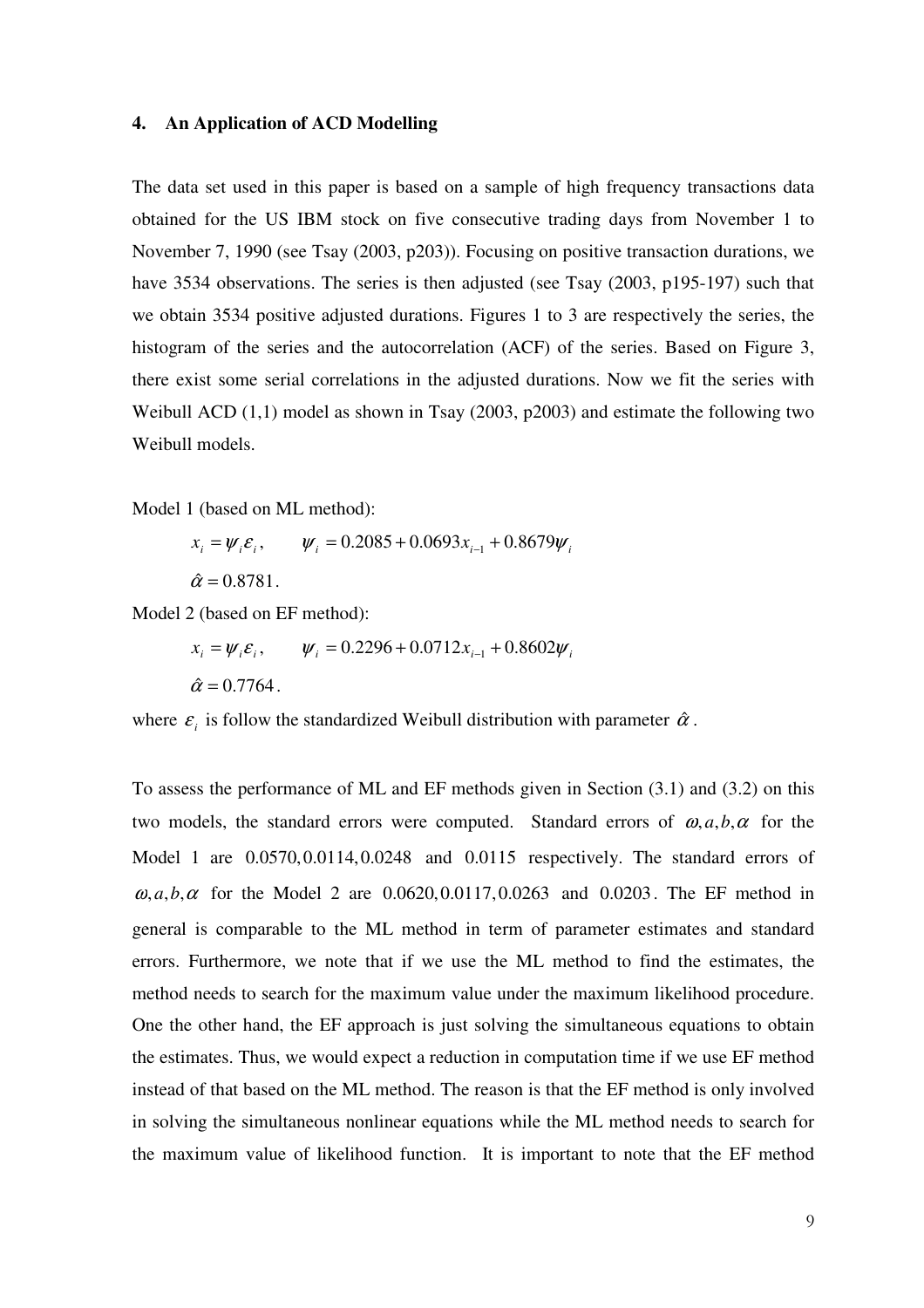#### **4. An Application of ACD Modelling**

The data set used in this paper is based on a sample of high frequency transactions data obtained for the US IBM stock on five consecutive trading days from November 1 to November 7, 1990 (see Tsay (2003, p203)). Focusing on positive transaction durations, we have 3534 observations. The series is then adjusted (see Tsay (2003, p195-197) such that we obtain 3534 positive adjusted durations. Figures 1 to 3 are respectively the series, the histogram of the series and the autocorrelation (ACF) of the series. Based on Figure 3, there exist some serial correlations in the adjusted durations. Now we fit the series with Weibull ACD (1,1) model as shown in Tsay (2003, p2003) and estimate the following two Weibull models.

Model 1 (based on ML method):

 $x_i = \psi_i \varepsilon_i, \qquad \psi_i = 0.2085 + 0.0693x_{i-1} + 0.8679\psi_i$  $\hat{\alpha} = 0.8781$ .

Model 2 (based on EF method):

 $x_i = \psi_i \varepsilon_i, \qquad \psi_i = 0.2296 + 0.0712x_{i-1} + 0.8602\psi_i$  $\hat{\alpha} = 0.7764$ .

where  $\varepsilon_i$  is follow the standardized Weibull distribution with parameter  $\hat{\alpha}$ .

To assess the performance of ML and EF methods given in Section (3.1) and (3.2) on this two models, the standard errors were computed. Standard errors of  $\omega$ ,  $a$ ,  $b$ ,  $\alpha$  for the Model 1 are  $0.0570, 0.0114, 0.0248$  and  $0.0115$  respectively. The standard errors of  $\omega$ , *a*, *b*,  $\alpha$  for the Model 2 are 0.0620, 0.0117, 0.0263 and 0.0203. The EF method in general is comparable to the ML method in term of parameter estimates and standard errors. Furthermore, we note that if we use the ML method to find the estimates, the method needs to search for the maximum value under the maximum likelihood procedure. One the other hand, the EF approach is just solving the simultaneous equations to obtain the estimates. Thus, we would expect a reduction in computation time if we use EF method instead of that based on the ML method. The reason is that the EF method is only involved in solving the simultaneous nonlinear equations while the ML method needs to search for the maximum value of likelihood function. It is important to note that the EF method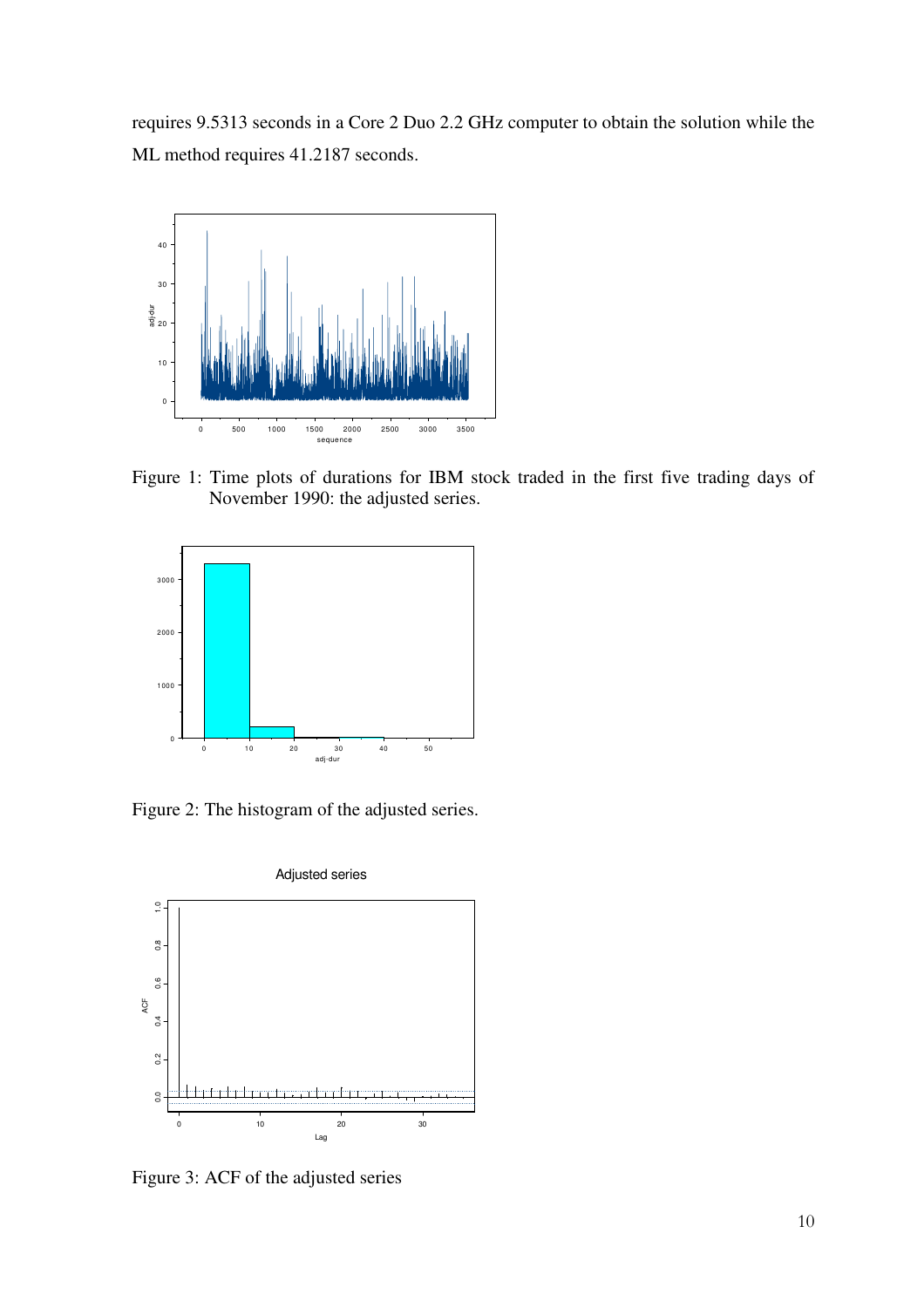requires 9.5313 seconds in a Core 2 Duo 2.2 GHz computer to obtain the solution while the ML method requires 41.2187 seconds.



Figure 1: Time plots of durations for IBM stock traded in the first five trading days of November 1990: the adjusted series.



Figure 2: The histogram of the adjusted series.



Figure 3: ACF of the adjusted series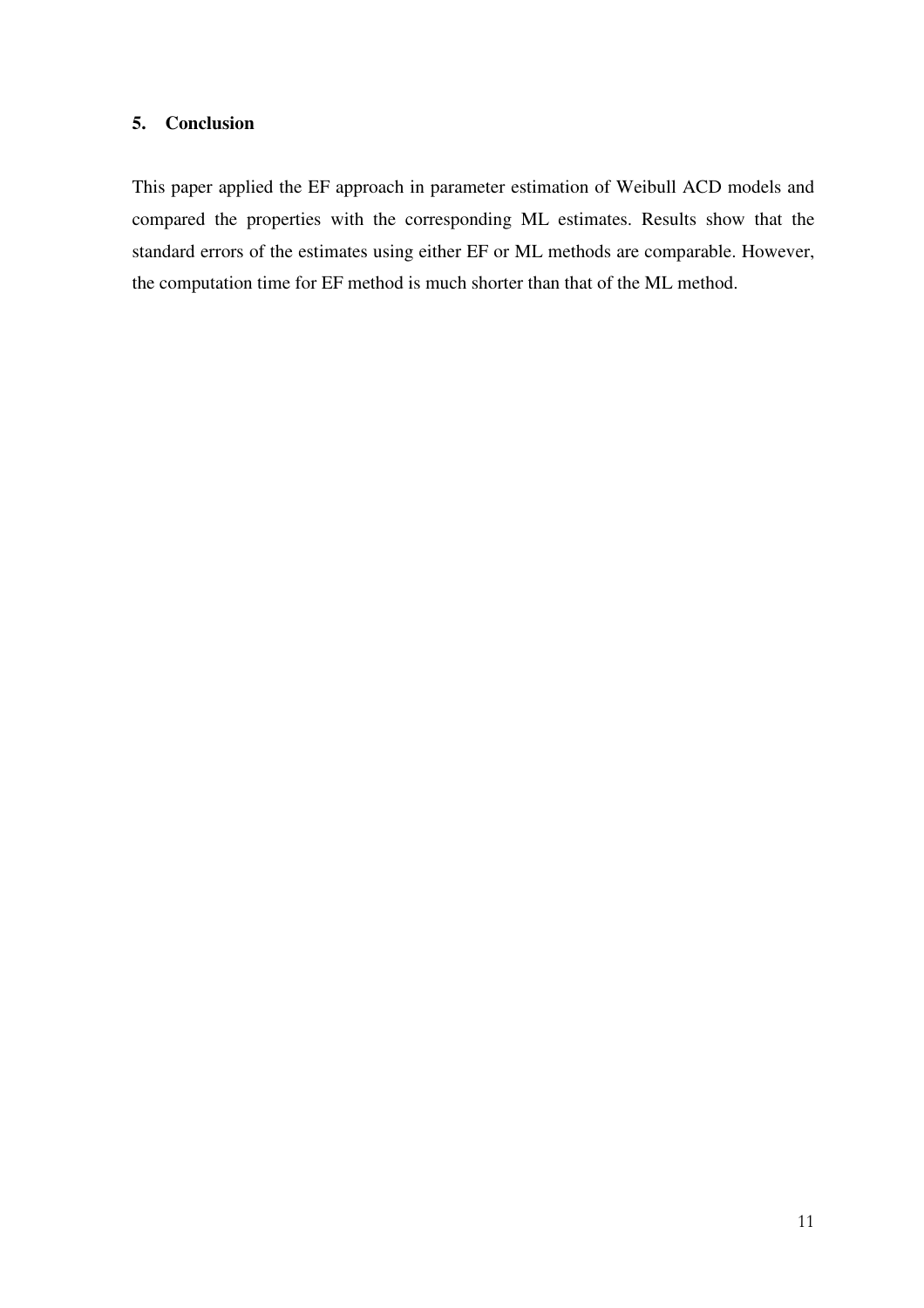## **5. Conclusion**

This paper applied the EF approach in parameter estimation of Weibull ACD models and compared the properties with the corresponding ML estimates. Results show that the standard errors of the estimates using either EF or ML methods are comparable. However, the computation time for EF method is much shorter than that of the ML method.